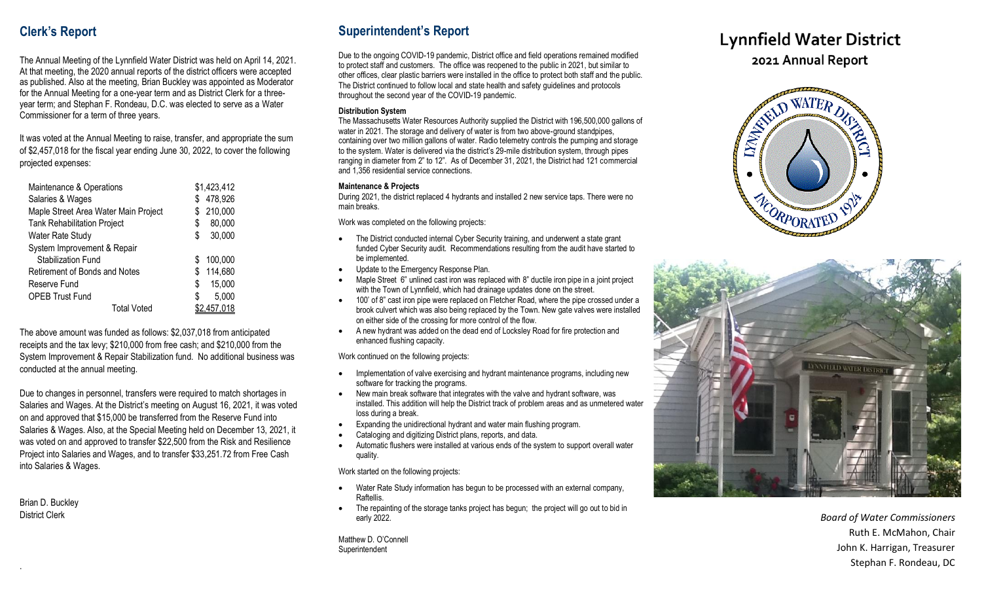## **Clerk's Report**

The Annual Meeting of the Lynnfield Water District was held on April 1 4, 202 1. At that meeting, the 2020 annual reports of the district officers were accepted as published. Also at the meeting, Brian Buckley was appointed as Moderator for the Annual Meeting for a one-year term and as District Clerk for a threeyear term; and Stephan F. Rondeau, D.C. was elected to serve as a Water Commissioner for a term of three years.

It was voted at the Annual Meeting to raise, transfer, and appropriate the sum of \$2,457,018 for the fiscal year ending June 30, 202 2, to cover the following projected expenses:

| Maintenance & Operations             | \$1,423,412  |
|--------------------------------------|--------------|
| Salaries & Wages                     | 478,926      |
| Maple Street Area Water Main Project | 210,000<br>S |
| <b>Tank Rehabilitation Project</b>   | 80,000<br>S  |
| <b>Water Rate Study</b>              | 30,000<br>S  |
| System Improvement & Repair          |              |
| Stabilization Fund                   | 100,000<br>S |
| Retirement of Bonds and Notes        | 114,680<br>S |
| Reserve Fund                         | \$<br>15,000 |
| <b>OPEB Trust Fund</b>               | 5,000<br>S   |
| Total Voted                          |              |

The above amount was funded as follows: \$2,037,018 from anticipated receipts and the tax levy; \$210,000 from free cash; and \$210,000 from the System Improvement & Repair Stabilization fund. No additional business was conducted at the annual meeting.

Due to changes in personnel, transfers were required to match shortages in Salaries and Wages. At the District's meeting on August 16, 2021, it was voted on and approved that \$15,000 be transferred from the Reserve Fund into Salaries & Wages. Also, at the Special Meeting held on December 13, 2021, it was voted on and approved to transfer \$22,500 from the Risk and Resilience Project into Salaries and Wages, and to transfer \$33,251.72 from Free Cash into Salaries & Wages.

Brian D. Buckley District Clerk

.

# **Superintendent's Report**

Due to the ongoing COVID -19 pandemic, District office and field operations remained modified to protect staff and customers. The office was reopened to the public in 2021, but similar to other offices, clear plastic barriers were installed in the office to protect both staff and the public. The District continued to follow local and state health and safety guidelines and protocols throughout the second year of the COVID -19 pandemic.

#### **Distribution System**

The Massachusetts Water Resources Authority supplied the District with 196,500,000 gallons of water in 2021. The storage and delivery of water is from two above -ground standpipes, containing over two million gallons of water. Radio telemetry controls the pumping and storage to the system. Water is delivered via the district's 29 -mile distribution system, through pipes ranging in diameter from 2" to 12". As of December 31, 2021, the District had 121 commercial and 1,356 residential service connections.

#### **Maintenance & Projects**

During 2021, the district replaced 4 hydrants and installed 2 new service taps. There were no main breaks.

Work was completed on the following projects:

- The District conducted internal Cyber Security training, and underwent a state grant funded Cyber Security audit. Recommendations resulting from the audit have started to be implemented.
- Update to the Emergency Response Plan.
- Maple Street 6" unlined cast iron was replaced with 8" ductile iron pipe in a joint project with the Town of Lynnfield, which had drainage updates done on the street.
- 100' of 8" cast iron pipe were replaced on Fletcher Road, where the pipe crossed under a brook culvert which was also being replaced by the Town. New gate valves were installed on either side of the crossing for more control of the flow.
- A new hydrant was added on the dead end of Locksley Road for fire protection and enhanced flushing capacity.

Work continued on the following projects:

- Implementation of valve exercising and hydrant maintenance programs, including new software for tracking the programs.
- New main break software that integrates with the valve and hydrant software, was installed. This addition will help the District track of problem areas and as unmetered water loss during a break.
- Expanding the unidirectional hydrant and water main flushing program.
- Cataloging and digitizing District plans, reports, and data.
- Automatic flushers were installed at various ends of the system to support overall water quality.

Work started on the following projects:

- Water Rate Study information has begun to be processed with an external company, Raftellis.
- The repainting of the storage tanks project has begun; the project will go out to bid in early 2022.

Matthew D. O'Connell Superintendent

# **Lynnfield Water District**

2021 Annual Report





*Board of Water Commissioners* Ruth E. McMahon, Chair John K. Harrigan, Treasurer Stephan F. Rondeau, DC